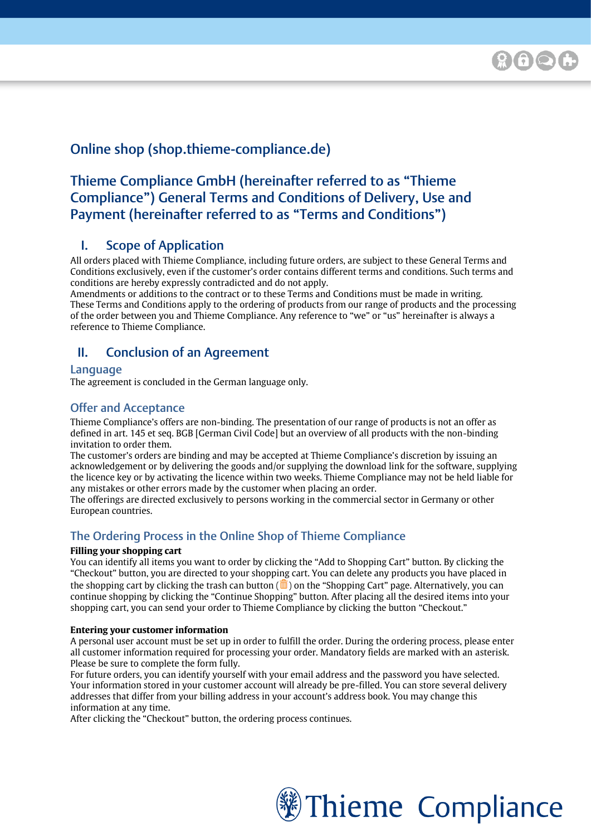# Online shop (shop.thieme-compliance.de)

# Thieme Compliance GmbH (hereinafter referred to as "Thieme Compliance") General Terms and Conditions of Delivery, Use and Payment (hereinafter referred to as "Terms and Conditions")

# I. Scope of Application

All orders placed with Thieme Compliance, including future orders, are subject to these General Terms and Conditions exclusively, even if the customer's order contains different terms and conditions. Such terms and conditions are hereby expressly contradicted and do not apply.

Amendments or additions to the contract or to these Terms and Conditions must be made in writing. These Terms and Conditions apply to the ordering of products from our range of products and the processing of the order between you and Thieme Compliance. Any reference to "we" or "us" hereinafter is always a reference to Thieme Compliance.

# II. Conclusion of an Agreement

#### Language

The agreement is concluded in the German language only.

## Offer and Acceptance

Thieme Compliance's offers are non-binding. The presentation of our range of products is not an offer as defined in art. 145 et seq. BGB [German Civil Code] but an overview of all products with the non-binding invitation to order them.

The customer's orders are binding and may be accepted at Thieme Compliance's discretion by issuing an acknowledgement or by delivering the goods and/or supplying the download link for the software, supplying the licence key or by activating the licence within two weeks. Thieme Compliance may not be held liable for any mistakes or other errors made by the customer when placing an order.

The offerings are directed exclusively to persons working in the commercial sector in Germany or other European countries.

## The Ordering Process in the Online Shop of Thieme Compliance

#### **Filling your shopping cart**

You can identify all items you want to order by clicking the "Add to Shopping Cart" button. By clicking the "Checkout" button, you are directed to your shopping cart. You can delete any products you have placed in the shopping cart by clicking the trash can button ( $\overline{m}$ ) on the "Shopping Cart" page. Alternatively, you can continue shopping by clicking the "Continue Shopping" button. After placing all the desired items into your shopping cart, you can send your order to Thieme Compliance by clicking the button "Checkout."

#### **Entering your customer information**

A personal user account must be set up in order to fulfill the order. During the ordering process, please enter all customer information required for processing your order. Mandatory fields are marked with an asterisk. Please be sure to complete the form fully.

For future orders, you can identify yourself with your email address and the password you have selected. Your information stored in your customer account will already be pre-filled. You can store several delivery addresses that differ from your billing address in your account's address book. You may change this information at any time.

After clicking the "Checkout" button, the ordering process continues.

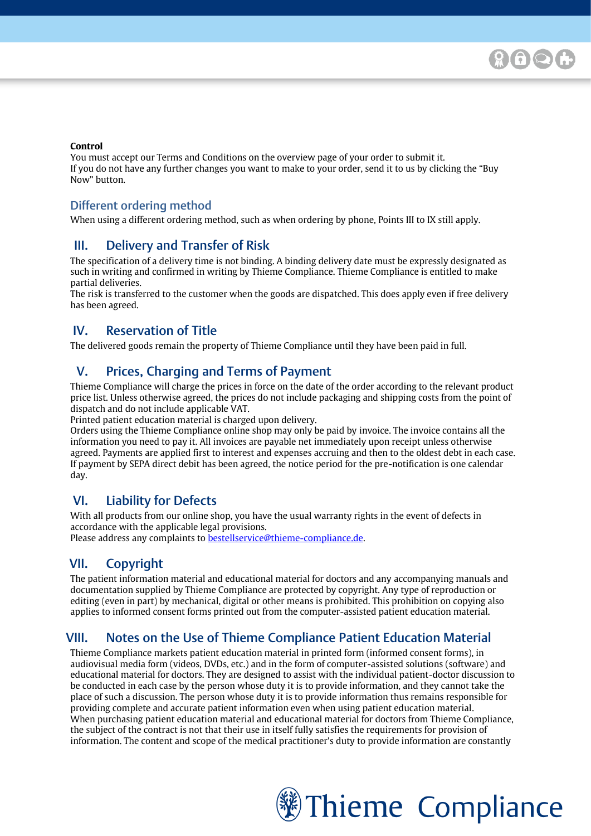#### **Control**

You must accept our Terms and Conditions on the overview page of your order to submit it. If you do not have any further changes you want to make to your order, send it to us by clicking the "Buy Now" button.

### Different ordering method

[Please enter your text here]

When using a different ordering method, such as when ordering by phone, Points III to IX still apply.

### III. Delivery and Transfer of Risk

The specification of a delivery time is not binding. A binding delivery date must be expressly designated as such in writing and confirmed in writing by Thieme Compliance. Thieme Compliance is entitled to make partial deliveries.

The risk is transferred to the customer when the goods are dispatched. This does apply even if free delivery has been agreed.

## IV. Reservation of Title

The delivered goods remain the property of Thieme Compliance until they have been paid in full.

# V. Prices, Charging and Terms of Payment

Thieme Compliance will charge the prices in force on the date of the order according to the relevant product price list. Unless otherwise agreed, the prices do not include packaging and shipping costs from the point of dispatch and do not include applicable VAT.

Printed patient education material is charged upon delivery.

Orders using the Thieme Compliance online shop may only be paid by invoice. The invoice contains all the information you need to pay it. All invoices are payable net immediately upon receipt unless otherwise agreed. Payments are applied first to interest and expenses accruing and then to the oldest debt in each case. If payment by SEPA direct debit has been agreed, the notice period for the pre-notification is one calendar day.

## VI. Liability for Defects

With all products from our online shop, you have the usual warranty rights in the event of defects in accordance with the applicable legal provisions.

Please address any complaints to **bestellservice@thieme-compliance.de**.

# VII. Copyright

The patient information material and educational material for doctors and any accompanying manuals and documentation supplied by Thieme Compliance are protected by copyright. Any type of reproduction or editing (even in part) by mechanical, digital or other means is prohibited. This prohibition on copying also applies to informed consent forms printed out from the computer-assisted patient education material.

## VIII. Notes on the Use of Thieme Compliance Patient Education Material

Thieme Compliance markets patient education material in printed form (informed consent forms), in audiovisual media form (videos, DVDs, etc.) and in the form of computer-assisted solutions (software) and educational material for doctors. They are designed to assist with the individual patient-doctor discussion to be conducted in each case by the person whose duty it is to provide information, and they cannot take the place of such a discussion. The person whose duty it is to provide information thus remains responsible for providing complete and accurate patient information even when using patient education material. When purchasing patient education material and educational material for doctors from Thieme Compliance, the subject of the contract is not that their use in itself fully satisfies the requirements for provision of information. The content and scope of the medical practitioner's duty to provide information are constantly